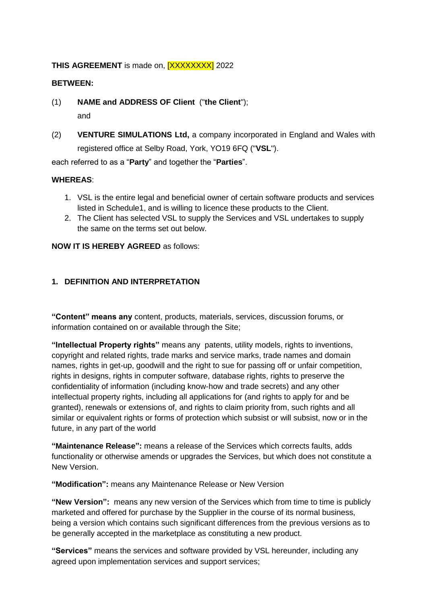#### **THIS AGREEMENT** is made on, **[XXXXXXXX]** 2022

#### **BETWEEN:**

- (1) **NAME and ADDRESS OF Client** ("**the Client**"); and
- (2) **VENTURE SIMULATIONS Ltd,** a company incorporated in England and Wales with registered office at Selby Road, York, YO19 6FQ ("**VSL**").

each referred to as a "**Party**" and together the "**Parties**".

#### **WHEREAS**:

- 1. VSL is the entire legal and beneficial owner of certain software products and services listed in Schedule1, and is willing to licence these products to the Client.
- 2. The Client has selected VSL to supply the Services and VSL undertakes to supply the same on the terms set out below.

#### **NOW IT IS HEREBY AGREED** as follows:

#### **1. DEFINITION AND INTERPRETATION**

**"Content" means any** content, products, materials, services, discussion forums, or information contained on or available through the Site;

**"Intellectual Property rights"** means any patents, utility models, rights to inventions, copyright and related rights, trade marks and service marks, trade names and domain names, rights in get-up, goodwill and the right to sue for passing off or unfair competition, rights in designs, rights in computer software, database rights, rights to preserve the confidentiality of information (including know-how and trade secrets) and any other intellectual property rights, including all applications for (and rights to apply for and be granted), renewals or extensions of, and rights to claim priority from, such rights and all similar or equivalent rights or forms of protection which subsist or will subsist, now or in the future, in any part of the world

**"Maintenance Release":** means a release of the Services which corrects faults, adds functionality or otherwise amends or upgrades the Services, but which does not constitute a New Version.

**"Modification":** means any Maintenance Release or New Version

**"New Version":** means any new version of the Services which from time to time is publicly marketed and offered for purchase by the Supplier in the course of its normal business, being a version which contains such significant differences from the previous versions as to be generally accepted in the marketplace as constituting a new product.

**"Services"** means the services and software provided by VSL hereunder, including any agreed upon implementation services and support services;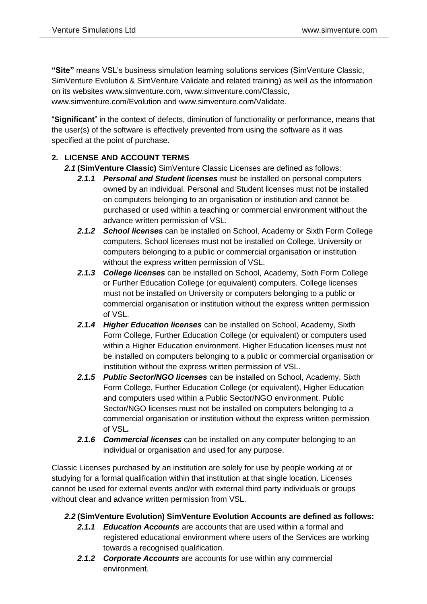**"Site"** means VSL's business simulation learning solutions services (SimVenture Classic, SimVenture Evolution & SimVenture Validate and related training) as well as the information on its websites [www.simventure.com,](http://www.simventure.com/) [www.simventure.com/Classic,](http://www.simventure.com/Classic) [www.simventure.com/Evolution](http://www.simventure.com/Evolution) and [www.simventure.com/Validate.](http://www.simventure.com/Validate)

"**Significant**" in the context of defects, diminution of functionality or performance, means that the user(s) of the software is effectively prevented from using the software as it was specified at the point of purchase.

# **2. LICENSE AND ACCOUNT TERMS**

- *2.1* **(SimVenture Classic)** SimVenture Classic Licenses are defined as follows:
	- *2.1.1 Personal and Student licenses* must be installed on personal computers owned by an individual. Personal and Student licenses must not be installed on computers belonging to an organisation or institution and cannot be purchased or used within a teaching or commercial environment without the advance written permission of VSL.
	- *2.1.2 School licenses* can be installed on School, Academy or Sixth Form College computers. School licenses must not be installed on College, University or computers belonging to a public or commercial organisation or institution without the express written permission of VSL.
	- *2.1.3 College licenses* can be installed on School, Academy, Sixth Form College or Further Education College (or equivalent) computers. College licenses must not be installed on University or computers belonging to a public or commercial organisation or institution without the express written permission of VSL.
	- *2.1.4 Higher Education licenses* can be installed on School, Academy, Sixth Form College, Further Education College (or equivalent) or computers used within a Higher Education environment. Higher Education licenses must not be installed on computers belonging to a public or commercial organisation or institution without the express written permission of VSL.
	- *2.1.5 Public Sector/NGO licenses* can be installed on School, Academy, Sixth Form College, Further Education College (or equivalent), Higher Education and computers used within a Public Sector/NGO environment. Public Sector/NGO licenses must not be installed on computers belonging to a commercial organisation or institution without the express written permission of VSL*.*
	- *2.1.6 Commercial licenses* can be installed on any computer belonging to an individual or organisation and used for any purpose.

Classic Licenses purchased by an institution are solely for use by people working at or studying for a formal qualification within that institution at that single location. Licenses cannot be used for external events and/or with external third party individuals or groups without clear and advance written permission from VSL.

### *2.2* **(SimVenture Evolution) SimVenture Evolution Accounts are defined as follows:**

- *2.1.1 Education Accounts* are accounts that are used within a formal and registered educational environment where users of the Services are working towards a recognised qualification.
- *2.1.2 Corporate Accounts* are accounts for use within any commercial environment.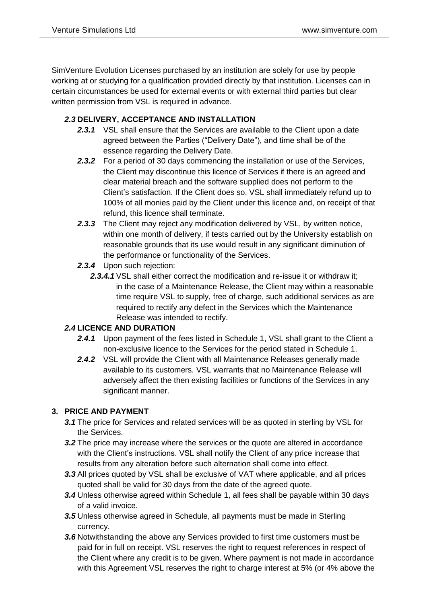SimVenture Evolution Licenses purchased by an institution are solely for use by people working at or studying for a qualification provided directly by that institution. Licenses can in certain circumstances be used for external events or with external third parties but clear written permission from VSL is required in advance.

### *2.3* **DELIVERY, ACCEPTANCE AND INSTALLATION**

- 2.3.1 VSL shall ensure that the Services are available to the Client upon a date agreed between the Parties ("Delivery Date"), and time shall be of the essence regarding the Delivery Date.
- *2.3.2* For a period of 30 days commencing the installation or use of the Services, the Client may discontinue this licence of Services if there is an agreed and clear material breach and the software supplied does not perform to the Client's satisfaction. If the Client does so, VSL shall immediately refund up to 100% of all monies paid by the Client under this licence and, on receipt of that refund, this licence shall terminate.
- **2.3.3** The Client may reject any modification delivered by VSL, by written notice, within one month of delivery, if tests carried out by the University establish on reasonable grounds that its use would result in any significant diminution of the performance or functionality of the Services.
- *2.3.4* Upon such rejection:
	- **2.3.4.1** VSL shall either correct the modification and re-issue it or withdraw it: in the case of a Maintenance Release, the Client may within a reasonable time require VSL to supply, free of charge, such additional services as are required to rectify any defect in the Services which the Maintenance Release was intended to rectify.

### *2.4* **LICENCE AND DURATION**

- 2.4.1 Upon payment of the fees listed in Schedule 1, VSL shall grant to the Client a non-exclusive licence to the Services for the period stated in Schedule 1.
- 2.4.2 VSL will provide the Client with all Maintenance Releases generally made available to its customers. VSL warrants that no Maintenance Release will adversely affect the then existing facilities or functions of the Services in any significant manner.

### **3. PRICE AND PAYMENT**

- *3.1* The price for Services and related services will be as quoted in sterling by VSL for the Services.
- *3.2* The price may increase where the services or the quote are altered in accordance with the Client's instructions. VSL shall notify the Client of any price increase that results from any alteration before such alternation shall come into effect.
- *3.3* All prices quoted by VSL shall be exclusive of VAT where applicable, and all prices quoted shall be valid for 30 days from the date of the agreed quote.
- *3.4* Unless otherwise agreed within Schedule 1, all fees shall be payable within 30 days of a valid invoice.
- *3.5* Unless otherwise agreed in Schedule, all payments must be made in Sterling currency.
- *3.6* Notwithstanding the above any Services provided to first time customers must be paid for in full on receipt. VSL reserves the right to request references in respect of the Client where any credit is to be given. Where payment is not made in accordance with this Agreement VSL reserves the right to charge interest at 5% (or 4% above the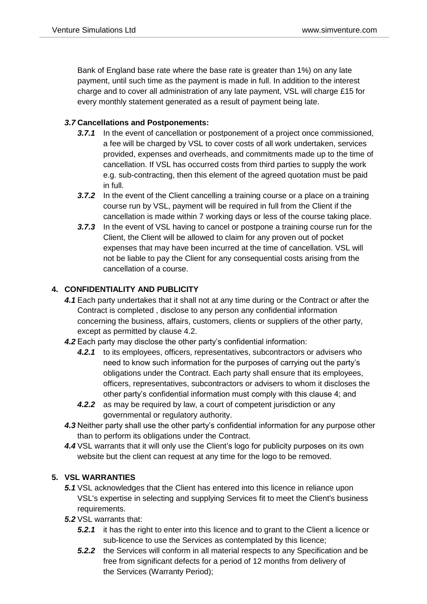Bank of England base rate where the base rate is greater than 1%) on any late payment, until such time as the payment is made in full. In addition to the interest charge and to cover all administration of any late payment, VSL will charge £15 for every monthly statement generated as a result of payment being late.

## *3.7* **Cancellations and Postponements:**

- *3.7.1* In the event of cancellation or postponement of a project once commissioned, a fee will be charged by VSL to cover costs of all work undertaken, services provided, expenses and overheads, and commitments made up to the time of cancellation. If VSL has occurred costs from third parties to supply the work e.g. sub-contracting, then this element of the agreed quotation must be paid in full.
- **3.7.2** In the event of the Client cancelling a training course or a place on a training course run by VSL, payment will be required in full from the Client if the cancellation is made within 7 working days or less of the course taking place.
- *3.7.3* In the event of VSL having to cancel or postpone a training course run for the Client, the Client will be allowed to claim for any proven out of pocket expenses that may have been incurred at the time of cancellation. VSL will not be liable to pay the Client for any consequential costs arising from the cancellation of a course.

# **4. CONFIDENTIALITY AND PUBLICITY**

- *4.1* Each party undertakes that it shall not at any time during or the Contract or after the Contract is completed , disclose to any person any confidential information concerning the business, affairs, customers, clients or suppliers of the other party, except as permitted by clause 4.2.
- *4.2* Each party may disclose the other party's confidential information:
	- *4.2.1* to its employees, officers, representatives, subcontractors or advisers who need to know such information for the purposes of carrying out the party's obligations under the Contract. Each party shall ensure that its employees, officers, representatives, subcontractors or advisers to whom it discloses the other party's confidential information must comply with this clause 4; and
	- *4.2.2* as may be required by law, a court of competent jurisdiction or any governmental or regulatory authority.
- *4.3* Neither party shall use the other party's confidential information for any purpose other than to perform its obligations under the Contract.
- *4.4* VSL warrants that it will only use the Client's logo for publicity purposes on its own website but the client can request at any time for the logo to be removed.

### **5. VSL WARRANTIES**

- *5.1* VSL acknowledges that the Client has entered into this licence in reliance upon VSL's expertise in selecting and supplying Services fit to meet the Client's business requirements.
- *5.2* VSL warrants that:
	- **5.2.1** it has the right to enter into this licence and to grant to the Client a licence or sub-licence to use the Services as contemplated by this licence;
	- *5.2.2* the Services will conform in all material respects to any Specification and be free from significant defects for a period of 12 months from delivery of the Services (Warranty Period);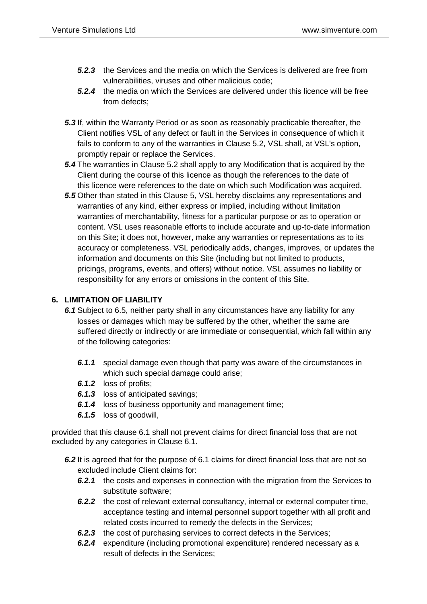- *5.2.3* the Services and the media on which the Services is delivered are free from vulnerabilities, viruses and other malicious code;
- *5.2.4* the media on which the Services are delivered under this licence will be free from defects:
- *5.3* If, within the Warranty Period or as soon as reasonably practicable thereafter, the Client notifies VSL of any defect or fault in the Services in consequence of which it fails to conform to any of the warranties in [Clause 5.2,](https://uk.practicallaw.thomsonreuters.com/Document/I33f12cbbe8cd11e398db8b09b4f043e0/View/FullText.html?navigationPath=Search%2Fv1%2Fresults%2Fnavigation%2Fi0ad604ab0000017d8f8a0fbef5ece89d%3Fppcid%3D7e9a95feb9ab4b49928909587c74be79%26Nav%3DKNOWHOW_UK%26fragmentIdentifier%3DI33f12cbbe8cd11e398db8b09b4f043e0%26parentRank%3D0%26startIndex%3D1%26contextData%3D%2528sc.Search%2529%26transitionType%3DSearchItem&listSource=Search&listPageSource=dca35c82f52d9231cbaa5b5e0d056126&list=KNOWHOW_UK&rank=2&sessionScopeId=3701a9cd00d5227ad075d739f9a692c409a9d2ce6dee73a24c580f94a5950480&ppcid=7e9a95feb9ab4b49928909587c74be79&originationContext=Search%20Result&transitionType=SearchItem&contextData=(sc.Search)&navId=EA0585E138D24F02CECFD0B755823316&comp=pluk#co_anchor_a545889) VSL shall, at VSL's option, promptly repair or replace the Services.
- *5.4* The warranties in [Clause 5.2](https://uk.practicallaw.thomsonreuters.com/Document/I33f12cbbe8cd11e398db8b09b4f043e0/View/FullText.html?navigationPath=Search%2Fv1%2Fresults%2Fnavigation%2Fi0ad604ab0000017d8f8a0fbef5ece89d%3Fppcid%3D7e9a95feb9ab4b49928909587c74be79%26Nav%3DKNOWHOW_UK%26fragmentIdentifier%3DI33f12cbbe8cd11e398db8b09b4f043e0%26parentRank%3D0%26startIndex%3D1%26contextData%3D%2528sc.Search%2529%26transitionType%3DSearchItem&listSource=Search&listPageSource=dca35c82f52d9231cbaa5b5e0d056126&list=KNOWHOW_UK&rank=2&sessionScopeId=3701a9cd00d5227ad075d739f9a692c409a9d2ce6dee73a24c580f94a5950480&ppcid=7e9a95feb9ab4b49928909587c74be79&originationContext=Search%20Result&transitionType=SearchItem&contextData=(sc.Search)&navId=EA0585E138D24F02CECFD0B755823316&comp=pluk#co_anchor_a545889) shall apply to any Modification that is acquired by the Client during the course of this licence as though the references to the date of this licence were references to the date on which such Modification was acquired.
- *5.5* Other than stated in this Clause 5, VSL hereby disclaims any representations and warranties of any kind, either express or implied, including without limitation warranties of merchantability, fitness for a particular purpose or as to operation or content. VSL uses reasonable efforts to include accurate and up-to-date information on this Site; it does not, however, make any warranties or representations as to its accuracy or completeness. VSL periodically adds, changes, improves, or updates the information and documents on this Site (including but not limited to products, pricings, programs, events, and offers) without notice. VSL assumes no liability or responsibility for any errors or omissions in the content of this Site.

#### **6. LIMITATION OF LIABILITY**

- *6.1* Subject to 6.5, neither party shall in any circumstances have any liability for any losses or damages which may be suffered by the other, whether the same are suffered directly or indirectly or are immediate or consequential, which fall within any of the following categories:
	- *6.1.1* special damage even though that party was aware of the circumstances in which such special damage could arise;
	- *6.1.2* loss of profits;
	- **6.1.3** loss of anticipated savings;
	- *6.1.4* loss of business opportunity and management time;
	- *6.1.5* loss of goodwill,

provided that this clause 6.1 shall not prevent claims for direct financial loss that are not excluded by any categories in Clause 6.1.

- *6.2* It is agreed that for the purpose of 6.1 claims for direct financial loss that are not so excluded include Client claims for:
	- *6.2.1* the costs and expenses in connection with the migration from the Services to substitute software;
	- *6.2.2* the cost of relevant external consultancy, internal or external computer time, acceptance testing and internal personnel support together with all profit and related costs incurred to remedy the defects in the Services;
	- **6.2.3** the cost of purchasing services to correct defects in the Services;
	- *6.2.4* expenditure (including promotional expenditure) rendered necessary as a result of defects in the Services;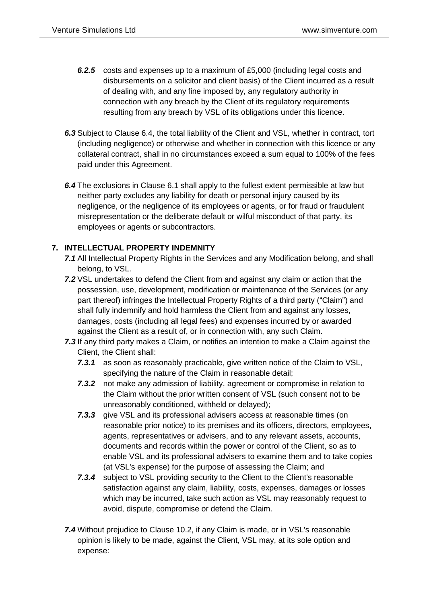- *6.2.5* costs and expenses up to a maximum of £5,000 (including legal costs and disbursements on a solicitor and client basis) of the Client incurred as a result of dealing with, and any fine imposed by, any regulatory authority in connection with any breach by the Client of its regulatory requirements resulting from any breach by VSL of its obligations under this licence.
- *6.3* Subject to Clause 6.4, the total liability of the Client and VSL, whether in contract, tort (including negligence) or otherwise and whether in connection with this licence or any collateral contract, shall in no circumstances exceed a sum equal to 100% of the fees paid under this Agreement.
- *6.4* The exclusions in [Clause 6.1](https://uk.practicallaw.thomsonreuters.com/Document/I33f12cbbe8cd11e398db8b09b4f043e0/View/FullText.html?navigationPath=Search%2Fv1%2Fresults%2Fnavigation%2Fi0ad604ab0000017d8f8a0fbef5ece89d%3Fppcid%3D7e9a95feb9ab4b49928909587c74be79%26Nav%3DKNOWHOW_UK%26fragmentIdentifier%3DI33f12cbbe8cd11e398db8b09b4f043e0%26parentRank%3D0%26startIndex%3D1%26contextData%3D%2528sc.Search%2529%26transitionType%3DSearchItem&listSource=Search&listPageSource=dca35c82f52d9231cbaa5b5e0d056126&list=KNOWHOW_UK&rank=2&sessionScopeId=3701a9cd00d5227ad075d739f9a692c409a9d2ce6dee73a24c580f94a5950480&ppcid=7e9a95feb9ab4b49928909587c74be79&originationContext=Search%20Result&transitionType=SearchItem&contextData=(sc.Search)&navId=EA0585E138D24F02CECFD0B755823316&comp=pluk#co_anchor_a539253) shall apply to the fullest extent permissible at law but neither party excludes any liability for death or personal injury caused by its negligence, or the negligence of its employees or agents, or for fraud or fraudulent misrepresentation or the deliberate default or wilful misconduct of that party, its employees or agents or subcontractors.

#### **7. INTELLECTUAL PROPERTY INDEMNITY**

- *7.1* All Intellectual Property Rights in the Services and any Modification belong, and shall belong, to VSL.
- *7.2* VSL undertakes to defend the Client from and against any claim or action that the possession, use, development, modification or maintenance of the Services (or any part thereof) infringes the Intellectual Property Rights of a third party ("Claim") and shall fully indemnify and hold harmless the Client from and against any losses, damages, costs (including all legal fees) and expenses incurred by or awarded against the Client as a result of, or in connection with, any such Claim.
- *7.3* If any third party makes a Claim, or notifies an intention to make a Claim against the Client, the Client shall:
	- *7.3.1* as soon as reasonably practicable, give written notice of the Claim to VSL, specifying the nature of the Claim in reasonable detail;
	- *7.3.2* not make any admission of liability, agreement or compromise in relation to the Claim without the prior written consent of VSL (such consent not to be unreasonably conditioned, withheld or delayed);
	- *7.3.3* give VSL and its professional advisers access at reasonable times (on reasonable prior notice) to its premises and its officers, directors, employees, agents, representatives or advisers, and to any relevant assets, accounts, documents and records within the power or control of the Client, so as to enable VSL and its professional advisers to examine them and to take copies (at VSL's expense) for the purpose of assessing the Claim; and
	- **7.3.4** subject to VSL providing security to the Client to the Client's reasonable satisfaction against any claim, liability, costs, expenses, damages or losses which may be incurred, take such action as VSL may reasonably request to avoid, dispute, compromise or defend the Claim.
- *7.4* Without prejudice to [Clause 10.2,](https://uk.practicallaw.thomsonreuters.com/Document/I33f12cbbe8cd11e398db8b09b4f043e0/View/FullText.html?navigationPath=Search%2Fv1%2Fresults%2Fnavigation%2Fi0ad604ab0000017d8f8a0fbef5ece89d%3Fppcid%3D7e9a95feb9ab4b49928909587c74be79%26Nav%3DKNOWHOW_UK%26fragmentIdentifier%3DI33f12cbbe8cd11e398db8b09b4f043e0%26parentRank%3D0%26startIndex%3D1%26contextData%3D%2528sc.Search%2529%26transitionType%3DSearchItem&listSource=Search&listPageSource=dca35c82f52d9231cbaa5b5e0d056126&list=KNOWHOW_UK&rank=2&sessionScopeId=3701a9cd00d5227ad075d739f9a692c409a9d2ce6dee73a24c580f94a5950480&ppcid=7e9a95feb9ab4b49928909587c74be79&originationContext=Search%20Result&transitionType=SearchItem&contextData=(sc.Search)&navId=EA0585E138D24F02CECFD0B755823316&comp=pluk#co_anchor_a803564) if any Claim is made, or in VSL's reasonable opinion is likely to be made, against the Client, VSL may, at its sole option and expense: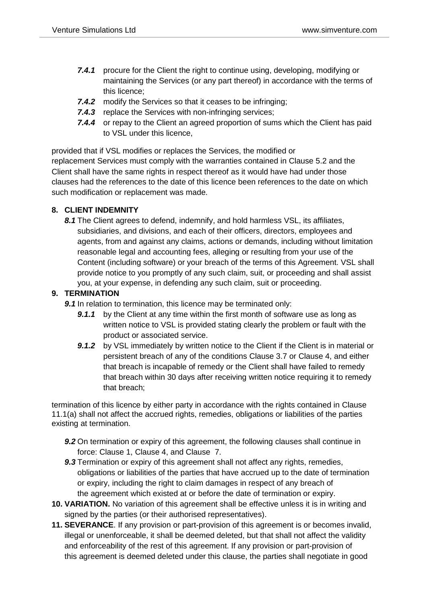- *7.4.1* procure for the Client the right to continue using, developing, modifying or maintaining the Services (or any part thereof) in accordance with the terms of this licence;
- *7.4.2* modify the Services so that it ceases to be infringing;
- **7.4.3** replace the Services with non-infringing services;
- *7.4.4* or repay to the Client an agreed proportion of sums which the Client has paid to VSL under this licence,

provided that if VSL modifies or replaces the Services, the modified or replacement Services must comply with the warranties contained in [Clause](https://uk.practicallaw.thomsonreuters.com/Document/I33f12cbbe8cd11e398db8b09b4f043e0/View/FullText.html?navigationPath=Search%2Fv1%2Fresults%2Fnavigation%2Fi0ad604ab0000017d8f8a0fbef5ece89d%3Fppcid%3D7e9a95feb9ab4b49928909587c74be79%26Nav%3DKNOWHOW_UK%26fragmentIdentifier%3DI33f12cbbe8cd11e398db8b09b4f043e0%26parentRank%3D0%26startIndex%3D1%26contextData%3D%2528sc.Search%2529%26transitionType%3DSearchItem&listSource=Search&listPageSource=dca35c82f52d9231cbaa5b5e0d056126&list=KNOWHOW_UK&rank=2&sessionScopeId=3701a9cd00d5227ad075d739f9a692c409a9d2ce6dee73a24c580f94a5950480&ppcid=7e9a95feb9ab4b49928909587c74be79&originationContext=Search%20Result&transitionType=SearchItem&contextData=(sc.Search)&navId=EA0585E138D24F02CECFD0B755823316&comp=pluk#co_anchor_a545889) 5.2 and the Client shall have the same rights in respect thereof as it would have had under those clauses had the references to the date of this licence been references to the date on which such modification or replacement was made.

### **8. CLIENT INDEMNITY**

*8.1* The Client agrees to defend, indemnify, and hold harmless VSL, its affiliates, subsidiaries, and divisions, and each of their officers, directors, employees and agents, from and against any claims, actions or demands, including without limitation reasonable legal and accounting fees, alleging or resulting from your use of the Content (including software) or your breach of the terms of this Agreement. VSL shall provide notice to you promptly of any such claim, suit, or proceeding and shall assist you, at your expense, in defending any such claim, suit or proceeding.

# **9. TERMINATION**

*9.1* In relation to termination, this licence may be terminated only:

- **9.1.1** by the Client at any time within the first month of software use as long as written notice to VSL is provided stating clearly the problem or fault with the product or associated service.
- **9.1.2** by VSL immediately by written notice to the Client if the Client is in material or persistent breach of any of the conditions [Clause 3.7](https://uk.practicallaw.thomsonreuters.com/Document/I33f12cbbe8cd11e398db8b09b4f043e0/View/FullText.html?navigationPath=Search%2Fv1%2Fresults%2Fnavigation%2Fi0ad604ab0000017d8f8a0fbef5ece89d%3Fppcid%3D7e9a95feb9ab4b49928909587c74be79%26Nav%3DKNOWHOW_UK%26fragmentIdentifier%3DI33f12cbbe8cd11e398db8b09b4f043e0%26parentRank%3D0%26startIndex%3D1%26contextData%3D%2528sc.Search%2529%26transitionType%3DSearchItem&listSource=Search&listPageSource=dca35c82f52d9231cbaa5b5e0d056126&list=KNOWHOW_UK&rank=2&sessionScopeId=3701a9cd00d5227ad075d739f9a692c409a9d2ce6dee73a24c580f94a5950480&ppcid=7e9a95feb9ab4b49928909587c74be79&originationContext=Search%20Result&transitionType=SearchItem&contextData=(sc.Search)&navId=EA0585E138D24F02CECFD0B755823316&comp=pluk#co_anchor_a860513) or Clause 4, and either that breach is incapable of remedy or the Client shall have failed to remedy that breach within 30 days after receiving written notice requiring it to remedy that breach;

termination of this licence by either party in accordance with the rights contained in [Clause](https://uk.practicallaw.thomsonreuters.com/Document/I33f12cbbe8cd11e398db8b09b4f043e0/View/FullText.html?navigationPath=Search%2Fv1%2Fresults%2Fnavigation%2Fi0ad604ab0000017d8f8a0fbef5ece89d%3Fppcid%3D7e9a95feb9ab4b49928909587c74be79%26Nav%3DKNOWHOW_UK%26fragmentIdentifier%3DI33f12cbbe8cd11e398db8b09b4f043e0%26parentRank%3D0%26startIndex%3D1%26contextData%3D%2528sc.Search%2529%26transitionType%3DSearchItem&listSource=Search&listPageSource=dca35c82f52d9231cbaa5b5e0d056126&list=KNOWHOW_UK&rank=2&sessionScopeId=3701a9cd00d5227ad075d739f9a692c409a9d2ce6dee73a24c580f94a5950480&ppcid=7e9a95feb9ab4b49928909587c74be79&originationContext=Search%20Result&transitionType=SearchItem&contextData=(sc.Search)&navId=EA0585E138D24F02CECFD0B755823316&comp=pluk#co_anchor_a183035)  [11.1\(a\)](https://uk.practicallaw.thomsonreuters.com/Document/I33f12cbbe8cd11e398db8b09b4f043e0/View/FullText.html?navigationPath=Search%2Fv1%2Fresults%2Fnavigation%2Fi0ad604ab0000017d8f8a0fbef5ece89d%3Fppcid%3D7e9a95feb9ab4b49928909587c74be79%26Nav%3DKNOWHOW_UK%26fragmentIdentifier%3DI33f12cbbe8cd11e398db8b09b4f043e0%26parentRank%3D0%26startIndex%3D1%26contextData%3D%2528sc.Search%2529%26transitionType%3DSearchItem&listSource=Search&listPageSource=dca35c82f52d9231cbaa5b5e0d056126&list=KNOWHOW_UK&rank=2&sessionScopeId=3701a9cd00d5227ad075d739f9a692c409a9d2ce6dee73a24c580f94a5950480&ppcid=7e9a95feb9ab4b49928909587c74be79&originationContext=Search%20Result&transitionType=SearchItem&contextData=(sc.Search)&navId=EA0585E138D24F02CECFD0B755823316&comp=pluk#co_anchor_a183035) shall not affect the accrued rights, remedies, obligations or liabilities of the parties existing at termination.

- **9.2** On termination or expiry of this agreement, the following clauses shall continue in force: [Clause 1,](https://uk.practicallaw.thomsonreuters.com/Document/I33f12cbbe8cd11e398db8b09b4f043e0/View/FullText.html?navigationPath=Search%2Fv1%2Fresults%2Fnavigation%2Fi0ad604ab0000017d8f8a0fbef5ece89d%3Fppcid%3D7e9a95feb9ab4b49928909587c74be79%26Nav%3DKNOWHOW_UK%26fragmentIdentifier%3DI33f12cbbe8cd11e398db8b09b4f043e0%26parentRank%3D0%26startIndex%3D1%26contextData%3D%2528sc.Search%2529%26transitionType%3DSearchItem&listSource=Search&listPageSource=dca35c82f52d9231cbaa5b5e0d056126&list=KNOWHOW_UK&rank=2&sessionScopeId=3701a9cd00d5227ad075d739f9a692c409a9d2ce6dee73a24c580f94a5950480&ppcid=7e9a95feb9ab4b49928909587c74be79&originationContext=Search%20Result&transitionType=SearchItem&contextData=(sc.Search)&navId=EA0585E138D24F02CECFD0B755823316&comp=pluk#co_anchor_a532169) Clause [4,](https://uk.practicallaw.thomsonreuters.com/Document/I33f12cbbe8cd11e398db8b09b4f043e0/View/FullText.html?navigationPath=Search%2Fv1%2Fresults%2Fnavigation%2Fi0ad604ab0000017d8f8a0fbef5ece89d%3Fppcid%3D7e9a95feb9ab4b49928909587c74be79%26Nav%3DKNOWHOW_UK%26fragmentIdentifier%3DI33f12cbbe8cd11e398db8b09b4f043e0%26parentRank%3D0%26startIndex%3D1%26contextData%3D%2528sc.Search%2529%26transitionType%3DSearchItem&listSource=Search&listPageSource=dca35c82f52d9231cbaa5b5e0d056126&list=KNOWHOW_UK&rank=2&sessionScopeId=3701a9cd00d5227ad075d739f9a692c409a9d2ce6dee73a24c580f94a5950480&ppcid=7e9a95feb9ab4b49928909587c74be79&originationContext=Search%20Result&transitionType=SearchItem&contextData=(sc.Search)&navId=EA0585E138D24F02CECFD0B755823316&comp=pluk#co_anchor_a978510) and Clause [7.](https://uk.practicallaw.thomsonreuters.com/Document/I33f12cbbe8cd11e398db8b09b4f043e0/View/FullText.html?navigationPath=Search%2Fv1%2Fresults%2Fnavigation%2Fi0ad604ab0000017d8f8a0fbef5ece89d%3Fppcid%3D7e9a95feb9ab4b49928909587c74be79%26Nav%3DKNOWHOW_UK%26fragmentIdentifier%3DI33f12cbbe8cd11e398db8b09b4f043e0%26parentRank%3D0%26startIndex%3D1%26contextData%3D%2528sc.Search%2529%26transitionType%3DSearchItem&listSource=Search&listPageSource=dca35c82f52d9231cbaa5b5e0d056126&list=KNOWHOW_UK&rank=2&sessionScopeId=3701a9cd00d5227ad075d739f9a692c409a9d2ce6dee73a24c580f94a5950480&ppcid=7e9a95feb9ab4b49928909587c74be79&originationContext=Search%20Result&transitionType=SearchItem&contextData=(sc.Search)&navId=EA0585E138D24F02CECFD0B755823316&comp=pluk#co_anchor_a69204)
- *9.3* Termination or expiry of this agreement shall not affect any rights, remedies, obligations or liabilities of the parties that have accrued up to the date of termination or expiry, including the right to claim damages in respect of any breach of the agreement which existed at or before the date of termination or expiry.
- **10. VARIATION.** No variation of this agreement shall be effective unless it is in writing and signed by the parties (or their authorised representatives).
- **11. SEVERANCE**. If any provision or part-provision of this agreement is or becomes invalid, illegal or unenforceable, it shall be deemed deleted, but that shall not affect the validity and enforceability of the rest of this agreement. If any provision or part-provision of this agreement is deemed deleted under [this](https://uk.practicallaw.thomsonreuters.com/Document/I33f12cbbe8cd11e398db8b09b4f043e0/View/FullText.html?navigationPath=Search%2Fv1%2Fresults%2Fnavigation%2Fi0ad604ab0000017d8f8a0fbef5ece89d%3Fppcid%3D7e9a95feb9ab4b49928909587c74be79%26Nav%3DKNOWHOW_UK%26fragmentIdentifier%3DI33f12cbbe8cd11e398db8b09b4f043e0%26parentRank%3D0%26startIndex%3D1%26contextData%3D%2528sc.Search%2529%26transitionType%3DSearchItem&listSource=Search&listPageSource=dca35c82f52d9231cbaa5b5e0d056126&list=KNOWHOW_UK&rank=2&sessionScopeId=3701a9cd00d5227ad075d739f9a692c409a9d2ce6dee73a24c580f94a5950480&ppcid=7e9a95feb9ab4b49928909587c74be79&originationContext=Search%20Result&transitionType=SearchItem&contextData=(sc.Search)&navId=EA0585E138D24F02CECFD0B755823316&comp=pluk#co_anchor_a656170) clause, the parties shall negotiate in good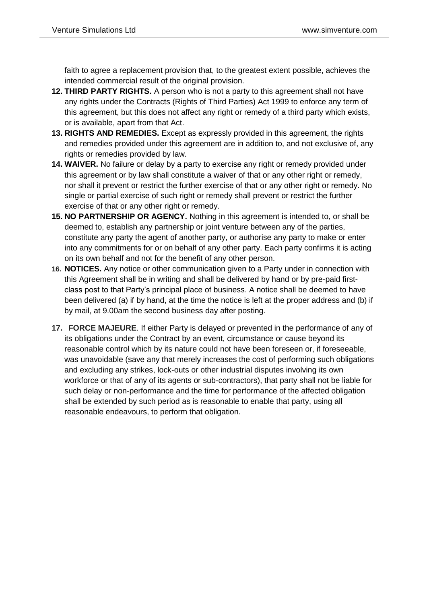faith to agree a replacement provision that, to the greatest extent possible, achieves the intended commercial result of the original provision.

- **12. THIRD PARTY RIGHTS.** A person who is not a party to this agreement shall not have any rights under the Contracts (Rights of Third Parties) Act 1999 to enforce any term of this agreement, but this does not affect any right or remedy of a third party which exists, or is available, apart from that Act.
- **13. RIGHTS AND REMEDIES.** Except as expressly provided in this agreement, the rights and remedies provided under this agreement are in addition to, and not exclusive of, any rights or remedies provided by law.
- **14. WAIVER.** No failure or delay by a party to exercise any right or remedy provided under this agreement or by law shall constitute a waiver of that or any other right or remedy, nor shall it prevent or restrict the further exercise of that or any other right or remedy. No single or partial exercise of such right or remedy shall prevent or restrict the further exercise of that or any other right or remedy.
- **15. NO PARTNERSHIP OR AGENCY.** Nothing in this agreement is intended to, or shall be deemed to, establish any partnership or joint venture between any of the parties, constitute any party the agent of another party, or authorise any party to make or enter into any commitments for or on behalf of any other party. Each party confirms it is acting on its own behalf and not for the benefit of any other person.
- **16. NOTICES.** Any notice or other communication given to a Party under in connection with this Agreement shall be in writing and shall be delivered by hand or by pre-paid firstclass post to that Party's principal place of business. A notice shall be deemed to have been delivered (a) if by hand, at the time the notice is left at the proper address and (b) if by mail, at 9.00am the second business day after posting.
- **17. FORCE MAJEURE**. If either Party is delayed or prevented in the performance of any of its obligations under the Contract by an event, circumstance or cause beyond its reasonable control which by its nature could not have been foreseen or, if foreseeable, was unavoidable (save any that merely increases the cost of performing such obligations and excluding any strikes, lock-outs or other industrial disputes involving its own workforce or that of any of its agents or sub-contractors), that party shall not be liable for such delay or non-performance and the time for performance of the affected obligation shall be extended by such period as is reasonable to enable that party, using all reasonable endeavours, to perform that obligation.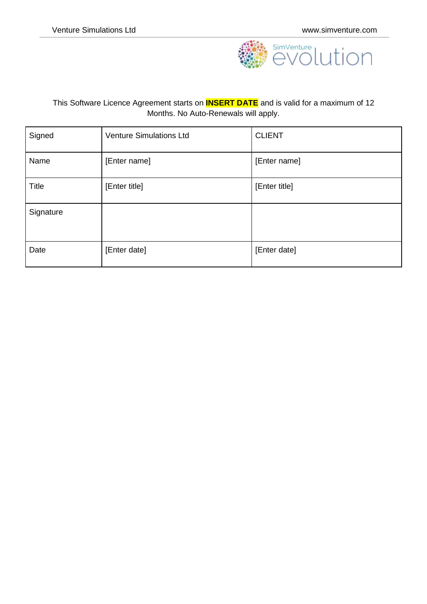

### This Software Licence Agreement starts on **INSERT DATE** and is valid for a maximum of 12 Months. No Auto-Renewals will apply.

| Signed    | <b>Venture Simulations Ltd</b> | <b>CLIENT</b> |
|-----------|--------------------------------|---------------|
| Name      | [Enter name]                   | [Enter name]  |
| Title     | [Enter title]                  | [Enter title] |
| Signature |                                |               |
| Date      | [Enter date]                   | [Enter date]  |